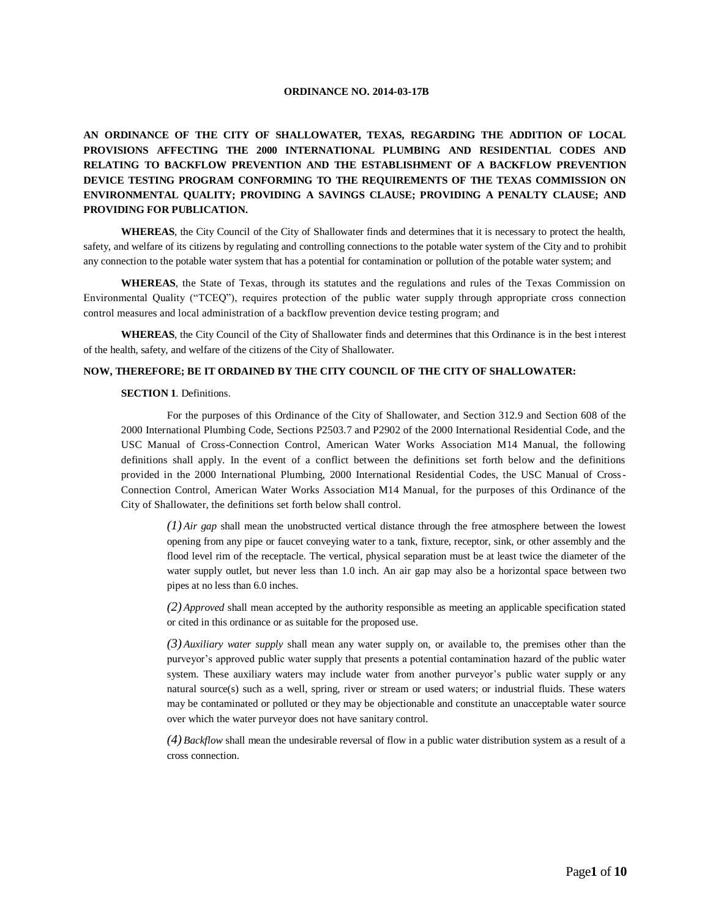#### **ORDINANCE NO. 2014-03-17B**

**AN ORDINANCE OF THE CITY OF SHALLOWATER, TEXAS, REGARDING THE ADDITION OF LOCAL PROVISIONS AFFECTING THE 2000 INTERNATIONAL PLUMBING AND RESIDENTIAL CODES AND RELATING TO BACKFLOW PREVENTION AND THE ESTABLISHMENT OF A BACKFLOW PREVENTION DEVICE TESTING PROGRAM CONFORMING TO THE REQUIREMENTS OF THE TEXAS COMMISSION ON ENVIRONMENTAL QUALITY; PROVIDING A SAVINGS CLAUSE; PROVIDING A PENALTY CLAUSE; AND PROVIDING FOR PUBLICATION.**

**WHEREAS**, the City Council of the City of Shallowater finds and determines that it is necessary to protect the health, safety, and welfare of its citizens by regulating and controlling connections to the potable water system of the City and to prohibit any connection to the potable water system that has a potential for contamination or pollution of the potable water system; and

**WHEREAS**, the State of Texas, through its statutes and the regulations and rules of the Texas Commission on Environmental Quality ("TCEQ"), requires protection of the public water supply through appropriate cross connection control measures and local administration of a backflow prevention device testing program; and

**WHEREAS**, the City Council of the City of Shallowater finds and determines that this Ordinance is in the best interest of the health, safety, and welfare of the citizens of the City of Shallowater.

## **NOW, THEREFORE; BE IT ORDAINED BY THE CITY COUNCIL OF THE CITY OF SHALLOWATER:**

#### **SECTION 1** Definitions

For the purposes of this Ordinance of the City of Shallowater, and Section 312.9 and Section 608 of the 2000 International Plumbing Code, Sections P2503.7 and P2902 of the 2000 International Residential Code, and the USC Manual of Cross-Connection Control, American Water Works Association M14 Manual, the following definitions shall apply. In the event of a conflict between the definitions set forth below and the definitions provided in the 2000 International Plumbing, 2000 International Residential Codes, the USC Manual of Cross-Connection Control, American Water Works Association M14 Manual, for the purposes of this Ordinance of the City of Shallowater, the definitions set forth below shall control.

*(1) Air gap* shall mean the unobstructed vertical distance through the free atmosphere between the lowest opening from any pipe or faucet conveying water to a tank, fixture, receptor, sink, or other assembly and the flood level rim of the receptacle. The vertical, physical separation must be at least twice the diameter of the water supply outlet, but never less than 1.0 inch. An air gap may also be a horizontal space between two pipes at no less than 6.0 inches.

*(2) Approved* shall mean accepted by the authority responsible as meeting an applicable specification stated or cited in this ordinance or as suitable for the proposed use.

*(3) Auxiliary water supply* shall mean any water supply on, or available to, the premises other than the purveyor's approved public water supply that presents a potential contamination hazard of the public water system. These auxiliary waters may include water from another purveyor's public water supply or any natural source(s) such as a well, spring, river or stream or used waters; or industrial fluids. These waters may be contaminated or polluted or they may be objectionable and constitute an unacceptable water source over which the water purveyor does not have sanitary control.

*(4) Backflow* shall mean the undesirable reversal of flow in a public water distribution system as a result of a cross connection.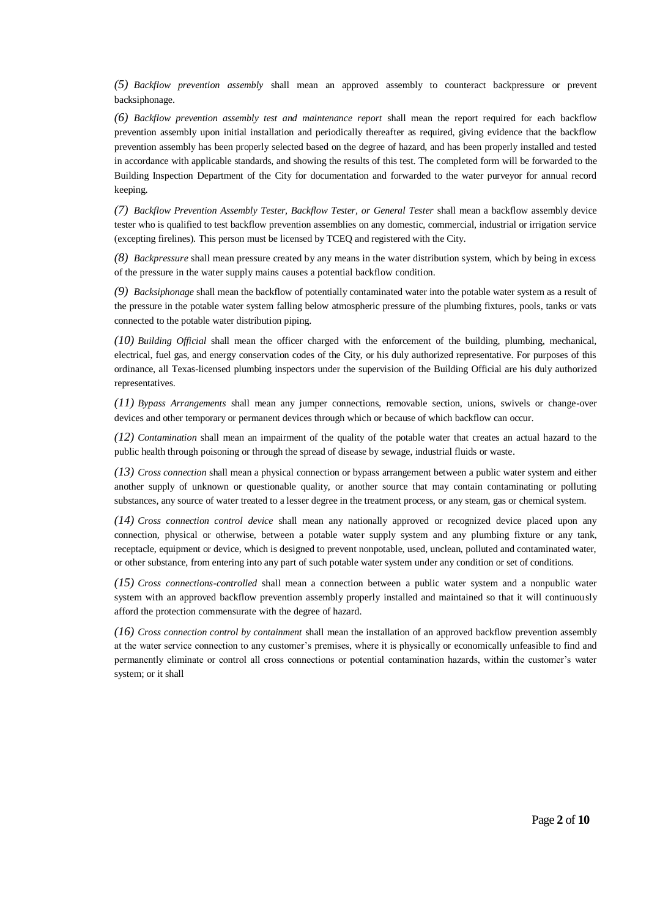*(5) Backflow prevention assembly* shall mean an approved assembly to counteract backpressure or prevent backsiphonage.

*(6) Backflow prevention assembly test and maintenance report* shall mean the report required for each backflow prevention assembly upon initial installation and periodically thereafter as required, giving evidence that the backflow prevention assembly has been properly selected based on the degree of hazard, and has been properly installed and tested in accordance with applicable standards, and showing the results of this test. The completed form will be forwarded to the Building Inspection Department of the City for documentation and forwarded to the water purveyor for annual record keeping.

*(7) Backflow Prevention Assembly Tester, Backflow Tester, or General Tester* shall mean a backflow assembly device tester who is qualified to test backflow prevention assemblies on any domestic, commercial, industrial or irrigation service (excepting firelines). This person must be licensed by TCEQ and registered with the City*.*

*(8) Backpressure* shall mean pressure created by any means in the water distribution system, which by being in excess of the pressure in the water supply mains causes a potential backflow condition.

*(9) Backsiphonage* shall mean the backflow of potentially contaminated water into the potable water system as a result of the pressure in the potable water system falling below atmospheric pressure of the plumbing fixtures, pools, tanks or vats connected to the potable water distribution piping.

*(10) Building Official* shall mean the officer charged with the enforcement of the building, plumbing, mechanical, electrical, fuel gas, and energy conservation codes of the City, or his duly authorized representative. For purposes of this ordinance, all Texas-licensed plumbing inspectors under the supervision of the Building Official are his duly authorized representatives.

*(11) Bypass Arrangements* shall mean any jumper connections, removable section, unions, swivels or change-over devices and other temporary or permanent devices through which or because of which backflow can occur.

*(12) Contamination* shall mean an impairment of the quality of the potable water that creates an actual hazard to the public health through poisoning or through the spread of disease by sewage, industrial fluids or waste.

*(13) Cross connection* shall mean a physical connection or bypass arrangement between a public water system and either another supply of unknown or questionable quality, or another source that may contain contaminating or polluting substances, any source of water treated to a lesser degree in the treatment process, or any steam, gas or chemical system.

*(14) Cross connection control device* shall mean any nationally approved or recognized device placed upon any connection, physical or otherwise, between a potable water supply system and any plumbing fixture or any tank, receptacle, equipment or device, which is designed to prevent nonpotable, used, unclean, polluted and contaminated water, or other substance, from entering into any part of such potable water system under any condition or set of conditions.

*(15) Cross connections-controlled* shall mean a connection between a public water system and a nonpublic water system with an approved backflow prevention assembly properly installed and maintained so that it will continuously afford the protection commensurate with the degree of hazard.

*(16) Cross connection control by containment* shall mean the installation of an approved backflow prevention assembly at the water service connection to any customer's premises, where it is physically or economically unfeasible to find and permanently eliminate or control all cross connections or potential contamination hazards, within the customer's water system; or it shall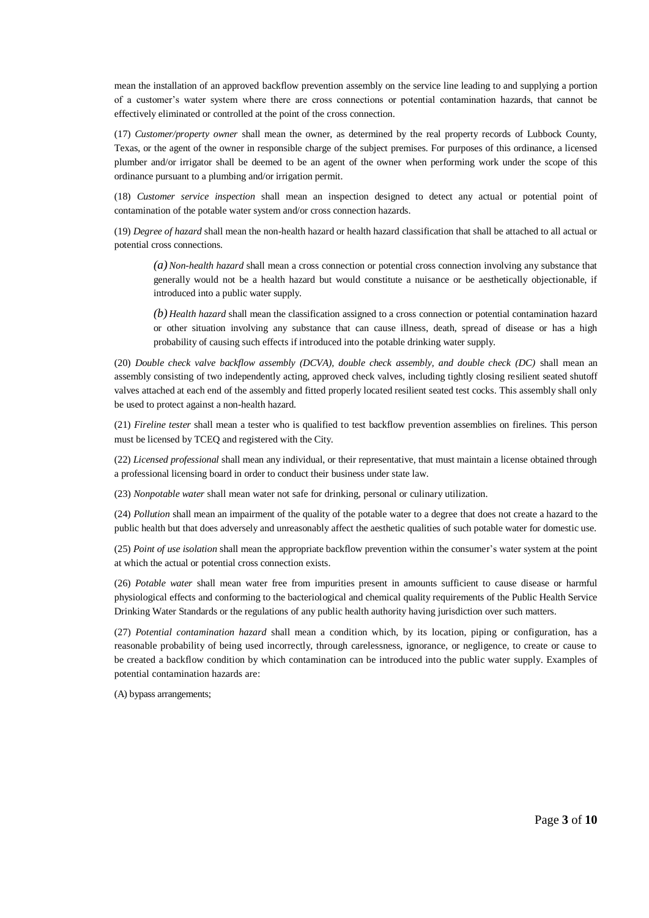mean the installation of an approved backflow prevention assembly on the service line leading to and supplying a portion of a customer's water system where there are cross connections or potential contamination hazards, that cannot be effectively eliminated or controlled at the point of the cross connection.

(17) *Customer/property owner* shall mean the owner, as determined by the real property records of Lubbock County, Texas, or the agent of the owner in responsible charge of the subject premises. For purposes of this ordinance, a licensed plumber and/or irrigator shall be deemed to be an agent of the owner when performing work under the scope of this ordinance pursuant to a plumbing and/or irrigation permit.

(18) *Customer service inspection* shall mean an inspection designed to detect any actual or potential point of contamination of the potable water system and/or cross connection hazards.

(19) *Degree of hazard* shall mean the non-health hazard or health hazard classification that shall be attached to all actual or potential cross connections.

*(a) Non-health hazard* shall mean a cross connection or potential cross connection involving any substance that generally would not be a health hazard but would constitute a nuisance or be aesthetically objectionable, if introduced into a public water supply.

*(b) Health hazard* shall mean the classification assigned to a cross connection or potential contamination hazard or other situation involving any substance that can cause illness, death, spread of disease or has a high probability of causing such effects if introduced into the potable drinking water supply.

(20) *Double check valve backflow assembly (DCVA), double check assembly, and double check (DC)* shall mean an assembly consisting of two independently acting, approved check valves, including tightly closing resilient seated shutoff valves attached at each end of the assembly and fitted properly located resilient seated test cocks. This assembly shall only be used to protect against a non-health hazard.

(21) *Fireline tester* shall mean a tester who is qualified to test backflow prevention assemblies on firelines. This person must be licensed by TCEQ and registered with the City.

(22) *Licensed professional* shall mean any individual, or their representative, that must maintain a license obtained through a professional licensing board in order to conduct their business under state law.

(23) *Nonpotable water* shall mean water not safe for drinking, personal or culinary utilization.

(24) *Pollution* shall mean an impairment of the quality of the potable water to a degree that does not create a hazard to the public health but that does adversely and unreasonably affect the aesthetic qualities of such potable water for domestic use.

(25) *Point of use isolation* shall mean the appropriate backflow prevention within the consumer's water system at the point at which the actual or potential cross connection exists.

(26) *Potable water* shall mean water free from impurities present in amounts sufficient to cause disease or harmful physiological effects and conforming to the bacteriological and chemical quality requirements of the Public Health Service Drinking Water Standards or the regulations of any public health authority having jurisdiction over such matters.

(27) *Potential contamination hazard* shall mean a condition which, by its location, piping or configuration, has a reasonable probability of being used incorrectly, through carelessness, ignorance, or negligence, to create or cause to be created a backflow condition by which contamination can be introduced into the public water supply. Examples of potential contamination hazards are:

(A) bypass arrangements;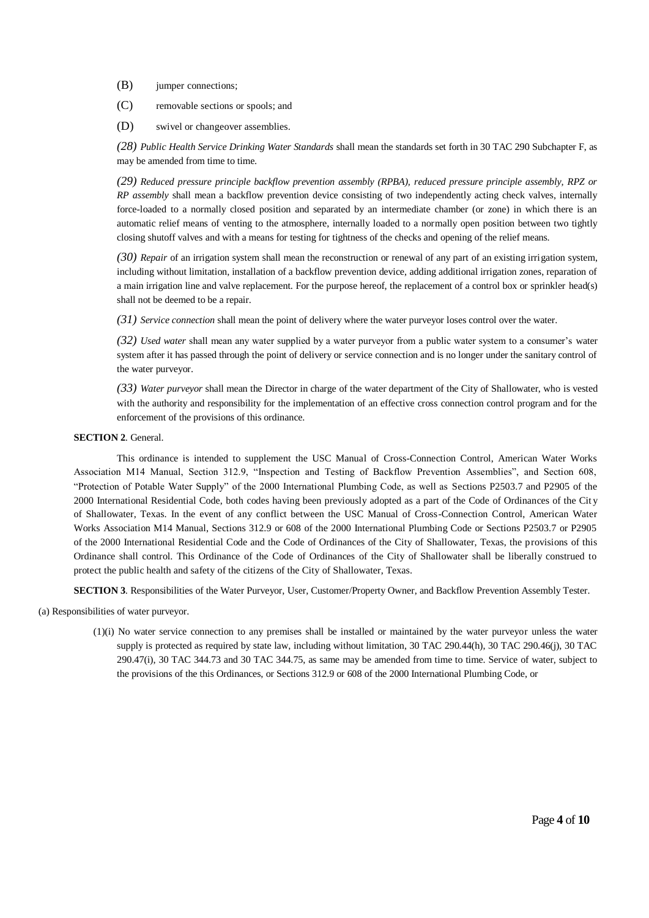(B) jumper connections;

(C) removable sections or spools; and

(D) swivel or changeover assemblies.

*(28) Public Health Service Drinking Water Standards* shall mean the standards set forth in 30 TAC 290 Subchapter F, as may be amended from time to time.

*(29) Reduced pressure principle backflow prevention assembly (RPBA), reduced pressure principle assembly, RPZ or RP assembly* shall mean a backflow prevention device consisting of two independently acting check valves, internally force-loaded to a normally closed position and separated by an intermediate chamber (or zone) in which there is an automatic relief means of venting to the atmosphere, internally loaded to a normally open position between two tightly closing shutoff valves and with a means for testing for tightness of the checks and opening of the relief means.

*(30) Repair* of an irrigation system shall mean the reconstruction or renewal of any part of an existing irrigation system, including without limitation, installation of a backflow prevention device, adding additional irrigation zones, reparation of a main irrigation line and valve replacement. For the purpose hereof, the replacement of a control box or sprinkler head(s) shall not be deemed to be a repair.

*(31) Service connection* shall mean the point of delivery where the water purveyor loses control over the water.

*(32) Used water* shall mean any water supplied by a water purveyor from a public water system to a consumer's water system after it has passed through the point of delivery or service connection and is no longer under the sanitary control of the water purveyor.

*(33) Water purveyor* shall mean the Director in charge of the water department of the City of Shallowater, who is vested with the authority and responsibility for the implementation of an effective cross connection control program and for the enforcement of the provisions of this ordinance.

### **SECTION 2**. General.

This ordinance is intended to supplement the USC Manual of Cross-Connection Control, American Water Works Association M14 Manual, Section 312.9, "Inspection and Testing of Backflow Prevention Assemblies", and Section 608, "Protection of Potable Water Supply" of the 2000 International Plumbing Code, as well as Sections P2503.7 and P2905 of the 2000 International Residential Code, both codes having been previously adopted as a part of the Code of Ordinances of the Cit y of Shallowater, Texas. In the event of any conflict between the USC Manual of Cross-Connection Control, American Water Works Association M14 Manual, Sections 312.9 or 608 of the 2000 International Plumbing Code or Sections P2503.7 or P2905 of the 2000 International Residential Code and the Code of Ordinances of the City of Shallowater, Texas, the provisions of this Ordinance shall control. This Ordinance of the Code of Ordinances of the City of Shallowater shall be liberally construed to protect the public health and safety of the citizens of the City of Shallowater, Texas.

**SECTION 3**. Responsibilities of the Water Purveyor, User, Customer/Property Owner, and Backflow Prevention Assembly Tester.

(a) Responsibilities of water purveyor.

(1)(i) No water service connection to any premises shall be installed or maintained by the water purveyor unless the water supply is protected as required by state law, including without limitation, 30 TAC 290.44(h), 30 TAC 290.46(j), 30 TAC 290.47(i), 30 TAC 344.73 and 30 TAC 344.75, as same may be amended from time to time. Service of water, subject to the provisions of the this Ordinances, or Sections 312.9 or 608 of the 2000 International Plumbing Code, or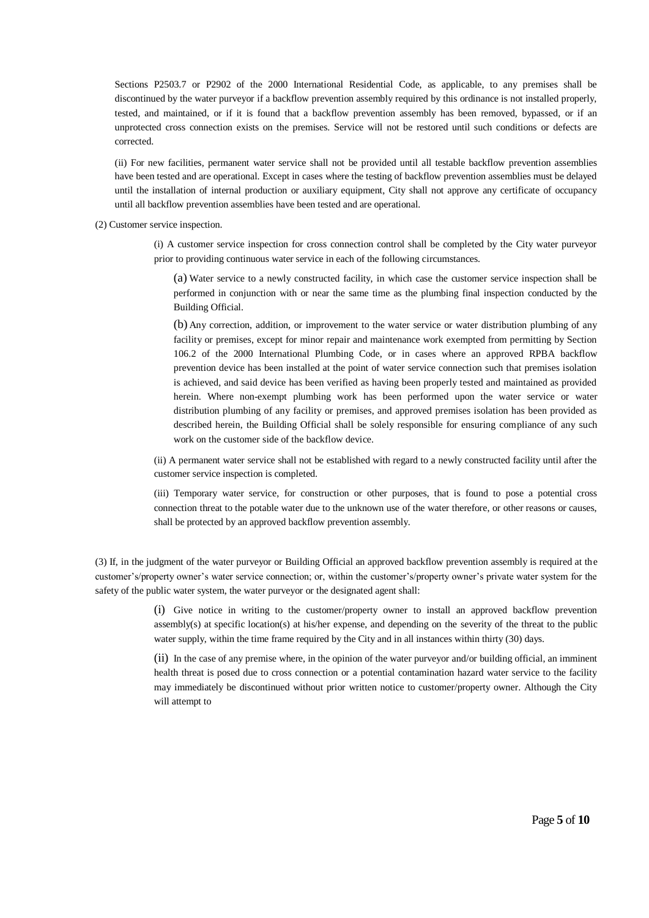Sections P2503.7 or P2902 of the 2000 International Residential Code, as applicable, to any premises shall be discontinued by the water purveyor if a backflow prevention assembly required by this ordinance is not installed properly, tested, and maintained, or if it is found that a backflow prevention assembly has been removed, bypassed, or if an unprotected cross connection exists on the premises. Service will not be restored until such conditions or defects are corrected.

(ii) For new facilities, permanent water service shall not be provided until all testable backflow prevention assemblies have been tested and are operational. Except in cases where the testing of backflow prevention assemblies must be delayed until the installation of internal production or auxiliary equipment, City shall not approve any certificate of occupancy until all backflow prevention assemblies have been tested and are operational.

(2) Customer service inspection.

(i) A customer service inspection for cross connection control shall be completed by the City water purveyor prior to providing continuous water service in each of the following circumstances.

(a) Water service to a newly constructed facility, in which case the customer service inspection shall be performed in conjunction with or near the same time as the plumbing final inspection conducted by the Building Official.

(b) Any correction, addition, or improvement to the water service or water distribution plumbing of any facility or premises, except for minor repair and maintenance work exempted from permitting by Section 106.2 of the 2000 International Plumbing Code, or in cases where an approved RPBA backflow prevention device has been installed at the point of water service connection such that premises isolation is achieved, and said device has been verified as having been properly tested and maintained as provided herein. Where non-exempt plumbing work has been performed upon the water service or water distribution plumbing of any facility or premises, and approved premises isolation has been provided as described herein, the Building Official shall be solely responsible for ensuring compliance of any such work on the customer side of the backflow device.

(ii) A permanent water service shall not be established with regard to a newly constructed facility until after the customer service inspection is completed.

(iii) Temporary water service, for construction or other purposes, that is found to pose a potential cross connection threat to the potable water due to the unknown use of the water therefore, or other reasons or causes, shall be protected by an approved backflow prevention assembly.

(3) If, in the judgment of the water purveyor or Building Official an approved backflow prevention assembly is required at the customer's/property owner's water service connection; or, within the customer's/property owner's private water system for the safety of the public water system, the water purveyor or the designated agent shall:

> (i) Give notice in writing to the customer/property owner to install an approved backflow prevention assembly(s) at specific location(s) at his/her expense, and depending on the severity of the threat to the public water supply, within the time frame required by the City and in all instances within thirty (30) days.

> (ii) In the case of any premise where, in the opinion of the water purveyor and/or building official, an imminent health threat is posed due to cross connection or a potential contamination hazard water service to the facility may immediately be discontinued without prior written notice to customer/property owner. Although the City will attempt to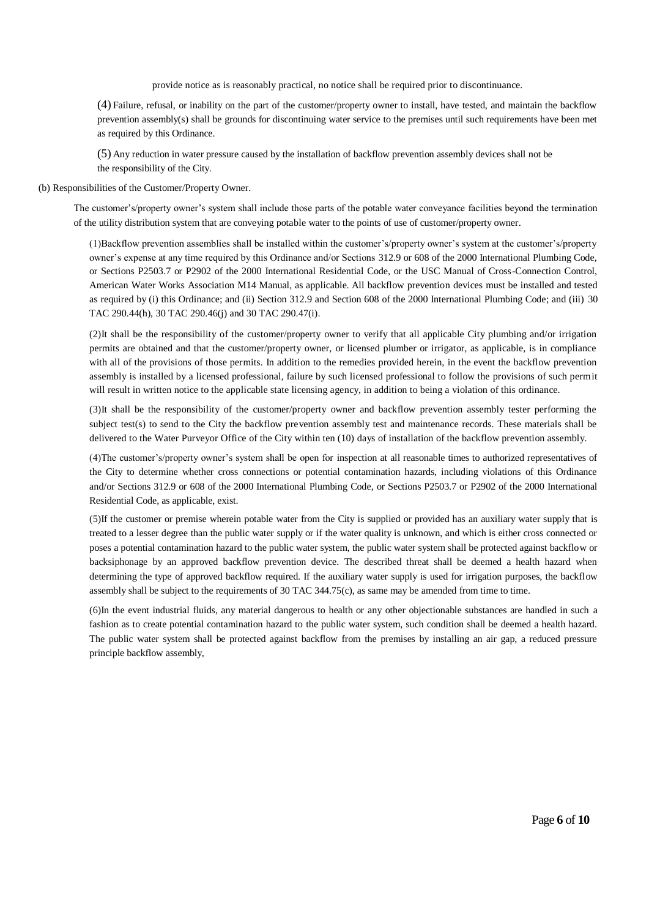provide notice as is reasonably practical, no notice shall be required prior to discontinuance.

(4) Failure, refusal, or inability on the part of the customer/property owner to install, have tested, and maintain the backflow prevention assembly(s) shall be grounds for discontinuing water service to the premises until such requirements have been met as required by this Ordinance.

(5) Any reduction in water pressure caused by the installation of backflow prevention assembly devices shall not be the responsibility of the City.

(b) Responsibilities of the Customer/Property Owner.

The customer's/property owner's system shall include those parts of the potable water conveyance facilities beyond the termination of the utility distribution system that are conveying potable water to the points of use of customer/property owner.

(1)Backflow prevention assemblies shall be installed within the customer's/property owner's system at the customer's/property owner's expense at any time required by this Ordinance and/or Sections 312.9 or 608 of the 2000 International Plumbing Code, or Sections P2503.7 or P2902 of the 2000 International Residential Code, or the USC Manual of Cross-Connection Control, American Water Works Association M14 Manual, as applicable. All backflow prevention devices must be installed and tested as required by (i) this Ordinance; and (ii) Section 312.9 and Section 608 of the 2000 International Plumbing Code; and (iii) 30 TAC 290.44(h), 30 TAC 290.46(j) and 30 TAC 290.47(i).

(2)It shall be the responsibility of the customer/property owner to verify that all applicable City plumbing and/or irrigation permits are obtained and that the customer/property owner, or licensed plumber or irrigator, as applicable, is in compliance with all of the provisions of those permits. In addition to the remedies provided herein, in the event the backflow prevention assembly is installed by a licensed professional, failure by such licensed professional to follow the provisions of such permit will result in written notice to the applicable state licensing agency, in addition to being a violation of this ordinance.

(3)It shall be the responsibility of the customer/property owner and backflow prevention assembly tester performing the subject test(s) to send to the City the backflow prevention assembly test and maintenance records. These materials shall be delivered to the Water Purveyor Office of the City within ten (10) days of installation of the backflow prevention assembly.

(4)The customer's/property owner's system shall be open for inspection at all reasonable times to authorized representatives of the City to determine whether cross connections or potential contamination hazards, including violations of this Ordinance and/or Sections 312.9 or 608 of the 2000 International Plumbing Code, or Sections P2503.7 or P2902 of the 2000 International Residential Code, as applicable, exist.

(5)If the customer or premise wherein potable water from the City is supplied or provided has an auxiliary water supply that is treated to a lesser degree than the public water supply or if the water quality is unknown, and which is either cross connected or poses a potential contamination hazard to the public water system, the public water system shall be protected against backflow or backsiphonage by an approved backflow prevention device. The described threat shall be deemed a health hazard when determining the type of approved backflow required. If the auxiliary water supply is used for irrigation purposes, the backflow assembly shall be subject to the requirements of 30 TAC 344.75(c), as same may be amended from time to time.

(6)In the event industrial fluids, any material dangerous to health or any other objectionable substances are handled in such a fashion as to create potential contamination hazard to the public water system, such condition shall be deemed a health hazard. The public water system shall be protected against backflow from the premises by installing an air gap, a reduced pressure principle backflow assembly,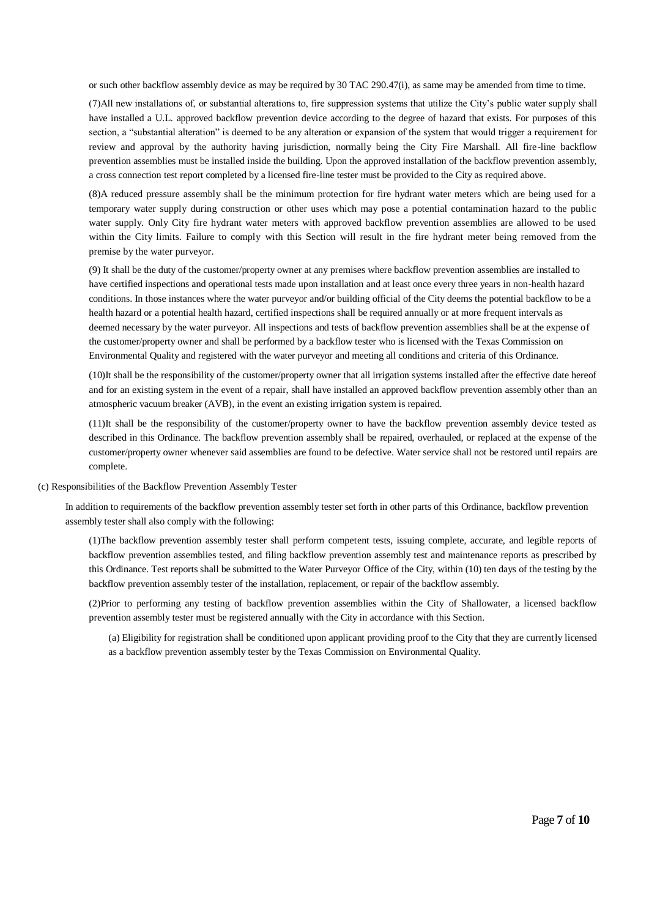or such other backflow assembly device as may be required by 30 TAC 290.47(i), as same may be amended from time to time.

(7)All new installations of, or substantial alterations to, fire suppression systems that utilize the City's public water supply shall have installed a U.L. approved backflow prevention device according to the degree of hazard that exists. For purposes of this section, a "substantial alteration" is deemed to be any alteration or expansion of the system that would trigger a requirement for review and approval by the authority having jurisdiction, normally being the City Fire Marshall. All fire-line backflow prevention assemblies must be installed inside the building. Upon the approved installation of the backflow prevention assembly, a cross connection test report completed by a licensed fire-line tester must be provided to the City as required above.

(8)A reduced pressure assembly shall be the minimum protection for fire hydrant water meters which are being used for a temporary water supply during construction or other uses which may pose a potential contamination hazard to the public water supply. Only City fire hydrant water meters with approved backflow prevention assemblies are allowed to be used within the City limits. Failure to comply with this Section will result in the fire hydrant meter being removed from the premise by the water purveyor.

(9) It shall be the duty of the customer/property owner at any premises where backflow prevention assemblies are installed to have certified inspections and operational tests made upon installation and at least once every three years in non-health hazard conditions. In those instances where the water purveyor and/or building official of the City deems the potential backflow to be a health hazard or a potential health hazard, certified inspections shall be required annually or at more frequent intervals as deemed necessary by the water purveyor. All inspections and tests of backflow prevention assemblies shall be at the expense of the customer/property owner and shall be performed by a backflow tester who is licensed with the Texas Commission on Environmental Quality and registered with the water purveyor and meeting all conditions and criteria of this Ordinance.

(10)It shall be the responsibility of the customer/property owner that all irrigation systems installed after the effective date hereof and for an existing system in the event of a repair, shall have installed an approved backflow prevention assembly other than an atmospheric vacuum breaker (AVB), in the event an existing irrigation system is repaired.

(11)It shall be the responsibility of the customer/property owner to have the backflow prevention assembly device tested as described in this Ordinance. The backflow prevention assembly shall be repaired, overhauled, or replaced at the expense of the customer/property owner whenever said assemblies are found to be defective. Water service shall not be restored until repairs are complete.

(c) Responsibilities of the Backflow Prevention Assembly Tester

In addition to requirements of the backflow prevention assembly tester set forth in other parts of this Ordinance, backflow prevention assembly tester shall also comply with the following:

(1)The backflow prevention assembly tester shall perform competent tests, issuing complete, accurate, and legible reports of backflow prevention assemblies tested, and filing backflow prevention assembly test and maintenance reports as prescribed by this Ordinance. Test reports shall be submitted to the Water Purveyor Office of the City, within (10) ten days of the testing by the backflow prevention assembly tester of the installation, replacement, or repair of the backflow assembly.

(2)Prior to performing any testing of backflow prevention assemblies within the City of Shallowater, a licensed backflow prevention assembly tester must be registered annually with the City in accordance with this Section.

(a) Eligibility for registration shall be conditioned upon applicant providing proof to the City that they are currently licensed as a backflow prevention assembly tester by the Texas Commission on Environmental Quality.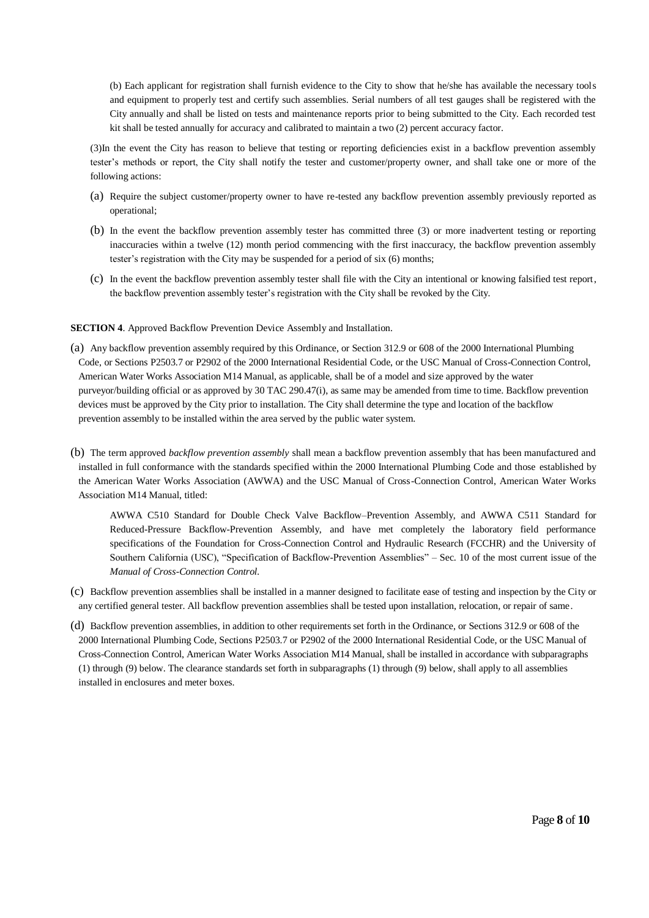(b) Each applicant for registration shall furnish evidence to the City to show that he/she has available the necessary tools and equipment to properly test and certify such assemblies. Serial numbers of all test gauges shall be registered with the City annually and shall be listed on tests and maintenance reports prior to being submitted to the City. Each recorded test kit shall be tested annually for accuracy and calibrated to maintain a two (2) percent accuracy factor.

(3)In the event the City has reason to believe that testing or reporting deficiencies exist in a backflow prevention assembly tester's methods or report, the City shall notify the tester and customer/property owner, and shall take one or more of the following actions:

- (a) Require the subject customer/property owner to have re-tested any backflow prevention assembly previously reported as operational;
- (b) In the event the backflow prevention assembly tester has committed three (3) or more inadvertent testing or reporting inaccuracies within a twelve (12) month period commencing with the first inaccuracy, the backflow prevention assembly tester's registration with the City may be suspended for a period of six (6) months;
- (c) In the event the backflow prevention assembly tester shall file with the City an intentional or knowing falsified test report, the backflow prevention assembly tester's registration with the City shall be revoked by the City.

## **SECTION 4**. Approved Backflow Prevention Device Assembly and Installation.

- (a) Any backflow prevention assembly required by this Ordinance, or Section 312.9 or 608 of the 2000 International Plumbing Code, or Sections P2503.7 or P2902 of the 2000 International Residential Code, or the USC Manual of Cross-Connection Control, American Water Works Association M14 Manual, as applicable, shall be of a model and size approved by the water purveyor/building official or as approved by 30 TAC 290.47(i), as same may be amended from time to time. Backflow prevention devices must be approved by the City prior to installation. The City shall determine the type and location of the backflow prevention assembly to be installed within the area served by the public water system.
- (b) The term approved *backflow prevention assembly* shall mean a backflow prevention assembly that has been manufactured and installed in full conformance with the standards specified within the 2000 International Plumbing Code and those established by the American Water Works Association (AWWA) and the USC Manual of Cross-Connection Control, American Water Works Association M14 Manual, titled:

AWWA C510 Standard for Double Check Valve Backflow–Prevention Assembly, and AWWA C511 Standard for Reduced-Pressure Backflow-Prevention Assembly, and have met completely the laboratory field performance specifications of the Foundation for Cross-Connection Control and Hydraulic Research (FCCHR) and the University of Southern California (USC), "Specification of Backflow-Prevention Assemblies" – Sec. 10 of the most current issue of the *Manual of Cross-Connection Control.*

- (c) Backflow prevention assemblies shall be installed in a manner designed to facilitate ease of testing and inspection by the City or any certified general tester. All backflow prevention assemblies shall be tested upon installation, relocation, or repair of same.
- (d) Backflow prevention assemblies, in addition to other requirements set forth in the Ordinance, or Sections 312.9 or 608 of the 2000 International Plumbing Code, Sections P2503.7 or P2902 of the 2000 International Residential Code, or the USC Manual of Cross-Connection Control, American Water Works Association M14 Manual, shall be installed in accordance with subparagraphs (1) through (9) below. The clearance standards set forth in subparagraphs (1) through (9) below, shall apply to all assemblies installed in enclosures and meter boxes.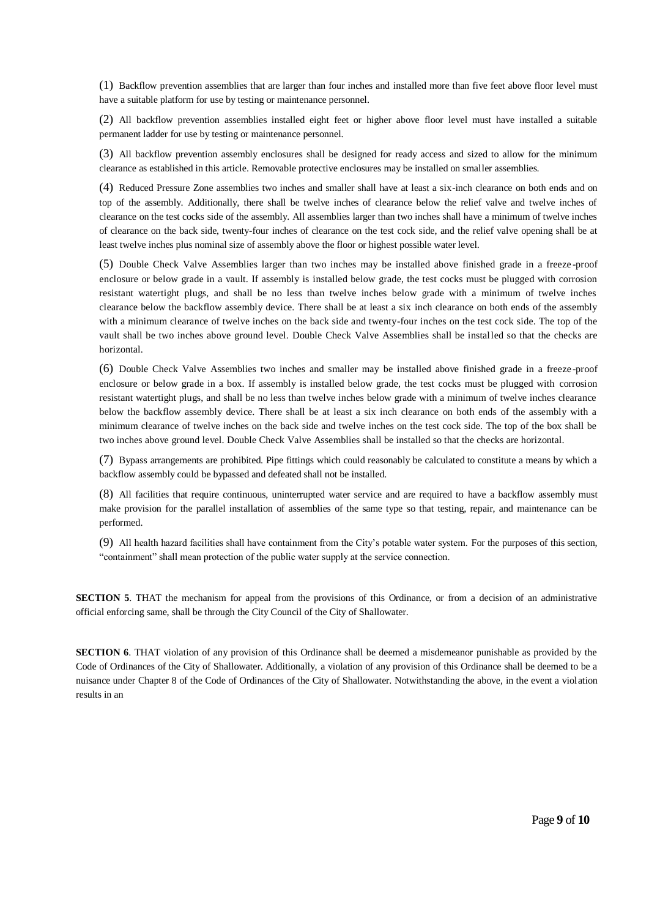(1) Backflow prevention assemblies that are larger than four inches and installed more than five feet above floor level must have a suitable platform for use by testing or maintenance personnel.

(2) All backflow prevention assemblies installed eight feet or higher above floor level must have installed a suitable permanent ladder for use by testing or maintenance personnel.

(3) All backflow prevention assembly enclosures shall be designed for ready access and sized to allow for the minimum clearance as established in this article. Removable protective enclosures may be installed on smaller assemblies.

(4) Reduced Pressure Zone assemblies two inches and smaller shall have at least a six-inch clearance on both ends and on top of the assembly. Additionally, there shall be twelve inches of clearance below the relief valve and twelve inches of clearance on the test cocks side of the assembly. All assemblies larger than two inches shall have a minimum of twelve inches of clearance on the back side, twenty-four inches of clearance on the test cock side, and the relief valve opening shall be at least twelve inches plus nominal size of assembly above the floor or highest possible water level.

(5) Double Check Valve Assemblies larger than two inches may be installed above finished grade in a freeze -proof enclosure or below grade in a vault. If assembly is installed below grade, the test cocks must be plugged with corrosion resistant watertight plugs, and shall be no less than twelve inches below grade with a minimum of twelve inches clearance below the backflow assembly device. There shall be at least a six inch clearance on both ends of the assembly with a minimum clearance of twelve inches on the back side and twenty-four inches on the test cock side. The top of the vault shall be two inches above ground level. Double Check Valve Assemblies shall be installed so that the checks are horizontal.

(6) Double Check Valve Assemblies two inches and smaller may be installed above finished grade in a freeze -proof enclosure or below grade in a box. If assembly is installed below grade, the test cocks must be plugged with corrosion resistant watertight plugs, and shall be no less than twelve inches below grade with a minimum of twelve inches clearance below the backflow assembly device. There shall be at least a six inch clearance on both ends of the assembly with a minimum clearance of twelve inches on the back side and twelve inches on the test cock side. The top of the box shall be two inches above ground level. Double Check Valve Assemblies shall be installed so that the checks are horizontal.

(7) Bypass arrangements are prohibited. Pipe fittings which could reasonably be calculated to constitute a means by which a backflow assembly could be bypassed and defeated shall not be installed.

(8) All facilities that require continuous, uninterrupted water service and are required to have a backflow assembly must make provision for the parallel installation of assemblies of the same type so that testing, repair, and maintenance can be performed.

(9) All health hazard facilities shall have containment from the City's potable water system. For the purposes of this section, "containment" shall mean protection of the public water supply at the service connection.

**SECTION 5**. THAT the mechanism for appeal from the provisions of this Ordinance, or from a decision of an administrative official enforcing same, shall be through the City Council of the City of Shallowater.

**SECTION 6.** THAT violation of any provision of this Ordinance shall be deemed a misdemeanor punishable as provided by the Code of Ordinances of the City of Shallowater. Additionally, a violation of any provision of this Ordinance shall be deemed to be a nuisance under Chapter 8 of the Code of Ordinances of the City of Shallowater. Notwithstanding the above, in the event a violation results in an